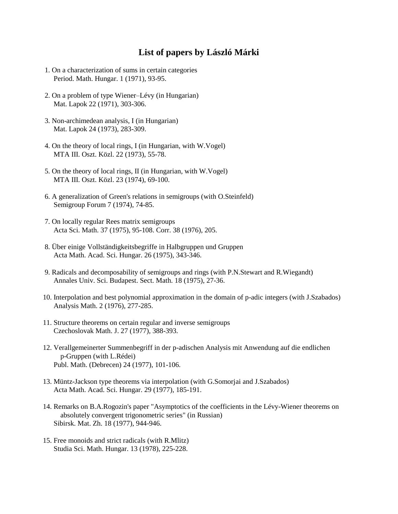## **List of papers by László Márki**

- 1. On a characterization of sums in certain categories Period. Math. Hungar. 1 (1971), 93-95.
- 2. On a problem of type Wiener–Lévy (in Hungarian) Mat. Lapok 22 (1971), 303-306.
- 3. Non-archimedean analysis, I (in Hungarian) Mat. Lapok 24 (1973), 283-309.
- 4. On the theory of local rings, I (in Hungarian, with W.Vogel) MTA III. Oszt. Közl. 22 (1973), 55-78.
- 5. On the theory of local rings, II (in Hungarian, with W.Vogel) MTA III. Oszt. Közl. 23 (1974), 69-100.
- 6. A generalization of Green's relations in semigroups (with O.Steinfeld) Semigroup Forum 7 (1974), 74-85.
- 7. On locally regular Rees matrix semigroups Acta Sci. Math. 37 (1975), 95-108. Corr. 38 (1976), 205.
- 8. Über einige Vollständigkeitsbegriffe in Halbgruppen und Gruppen Acta Math. Acad. Sci. Hungar. 26 (1975), 343-346.
- 9. Radicals and decomposability of semigroups and rings (with P.N.Stewart and R.Wiegandt) Annales Univ. Sci. Budapest. Sect. Math. 18 (1975), 27-36.
- 10. Interpolation and best polynomial approximation in the domain of p-adic integers (with J.Szabados) Analysis Math. 2 (1976), 277-285.
- 11. Structure theorems on certain regular and inverse semigroups Czechoslovak Math. J. 27 (1977), 388-393.
- 12. Verallgemeinerter Summenbegriff in der p-adischen Analysis mit Anwendung auf die endlichen p-Gruppen (with L.Rédei) Publ. Math. (Debrecen) 24 (1977), 101-106.
- 13. Müntz-Jackson type theorems via interpolation (with G.Somorjai and J.Szabados) Acta Math. Acad. Sci. Hungar. 29 (1977), 185-191.
- 14. Remarks on B.A.Rogozin's paper "Asymptotics of the coefficients in the Lévy-Wiener theorems on absolutely convergent trigonometric series" (in Russian) Sibirsk. Mat. Zh. 18 (1977), 944-946.
- 15. Free monoids and strict radicals (with R.Mlitz) Studia Sci. Math. Hungar. 13 (1978), 225-228.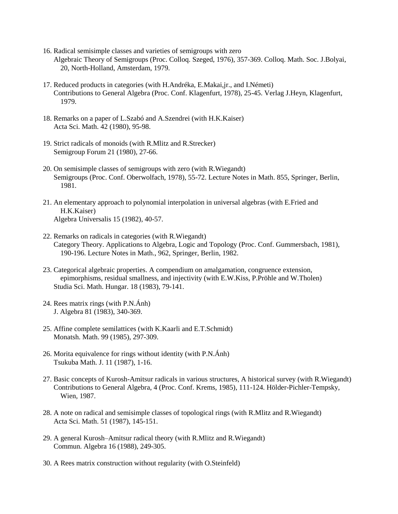- 16. Radical semisimple classes and varieties of semigroups with zero Algebraic Theory of Semigroups (Proc. Colloq. Szeged, 1976), 357-369. Colloq. Math. Soc. J.Bolyai, 20, North-Holland, Amsterdam, 1979.
- 17. Reduced products in categories (with H.Andréka, E.Makai,jr., and I.Németi) Contributions to General Algebra (Proc. Conf. Klagenfurt, 1978), 25-45. Verlag J.Heyn, Klagenfurt, 1979.
- 18. Remarks on a paper of L.Szabó and A.Szendrei (with H.K.Kaiser) Acta Sci. Math. 42 (1980), 95-98.
- 19. Strict radicals of monoids (with R.Mlitz and R.Strecker) Semigroup Forum 21 (1980), 27-66.
- 20. On semisimple classes of semigroups with zero (with R.Wiegandt) Semigroups (Proc. Conf. Oberwolfach, 1978), 55-72. Lecture Notes in Math. 855, Springer, Berlin, 1981.
- 21. An elementary approach to polynomial interpolation in universal algebras (with E.Fried and H.K.Kaiser) Algebra Universalis 15 (1982), 40-57.
- 22. Remarks on radicals in categories (with R.Wiegandt) Category Theory. Applications to Algebra, Logic and Topology (Proc. Conf. Gummersbach, 1981), 190-196. Lecture Notes in Math., 962, Springer, Berlin, 1982.
- 23. Categorical algebraic properties. A compendium on amalgamation, congruence extension, epimorphisms, residual smallness, and injectivity (with E.W.Kiss, P.Pröhle and W.Tholen) Studia Sci. Math. Hungar. 18 (1983), 79-141.
- 24. Rees matrix rings (with P.N.Ánh) J. Algebra 81 (1983), 340-369.
- 25. Affine complete semilattices (with K.Kaarli and E.T.Schmidt) Monatsh. Math. 99 (1985), 297-309.
- 26. Morita equivalence for rings without identity (with P.N.Ánh) Tsukuba Math. J. 11 (1987), 1-16.
- 27. Basic concepts of Kurosh-Amitsur radicals in various structures, A historical survey (with R.Wiegandt) Contributions to General Algebra, 4 (Proc. Conf. Krems, 1985), 111-124. Hölder-Pichler-Tempsky, Wien, 1987.
- 28. A note on radical and semisimple classes of topological rings (with R.Mlitz and R.Wiegandt) Acta Sci. Math. 51 (1987), 145-151.
- 29. A general Kurosh–Amitsur radical theory (with R.Mlitz and R.Wiegandt) Commun. Algebra 16 (1988), 249-305.
- 30. A Rees matrix construction without regularity (with O.Steinfeld)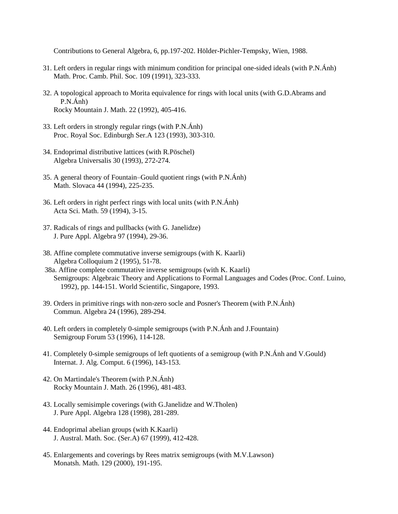Contributions to General Algebra, 6, pp.197-202. Hölder-Pichler-Tempsky, Wien, 1988.

- 31. Left orders in regular rings with minimum condition for principal one-sided ideals (with P.N.Ánh) Math. Proc. Camb. Phil. Soc. 109 (1991), 323-333.
- 32. A topological approach to Morita equivalence for rings with local units (with G.D.Abrams and P.N.Ánh) Rocky Mountain J. Math. 22 (1992), 405-416.
- 33. Left orders in strongly regular rings (with P.N.Ánh) Proc. Royal Soc. Edinburgh Ser.A 123 (1993), 303-310.
- 34. Endoprimal distributive lattices (with R.Pöschel) Algebra Universalis 30 (1993), 272-274.
- 35. A general theory of Fountain–Gould quotient rings (with P.N.Ánh) Math. Slovaca 44 (1994), 225-235.
- 36. Left orders in right perfect rings with local units (with P.N.Ánh) Acta Sci. Math. 59 (1994), 3-15.
- 37. Radicals of rings and pullbacks (with G. Janelidze) J. Pure Appl. Algebra 97 (1994), 29-36.
- 38. Affine complete commutative inverse semigroups (with K. Kaarli) Algebra Colloquium 2 (1995), 51-78.
- 38a. Affine complete commutative inverse semigroups (with K. Kaarli) Semigroups: Algebraic Theory and Applications to Formal Languages and Codes (Proc. Conf. Luino, 1992), pp. 144-151. World Scientific, Singapore, 1993.
- 39. Orders in primitive rings with non-zero socle and Posner's Theorem (with P.N.Ánh) Commun. Algebra 24 (1996), 289-294.
- 40. Left orders in completely 0-simple semigroups (with P.N.Ánh and J.Fountain) Semigroup Forum 53 (1996), 114-128.
- 41. Completely 0-simple semigroups of left quotients of a semigroup (with P.N.Ánh and V.Gould) Internat. J. Alg. Comput. 6 (1996), 143-153.
- 42. On Martindale's Theorem (with P.N.Ánh) Rocky Mountain J. Math. 26 (1996), 481-483.
- 43. Locally semisimple coverings (with G.Janelidze and W.Tholen) J. Pure Appl. Algebra 128 (1998), 281-289.
- 44. Endoprimal abelian groups (with K.Kaarli) J. Austral. Math. Soc. (Ser.A) 67 (1999), 412-428.
- 45. Enlargements and coverings by Rees matrix semigroups (with M.V.Lawson) Monatsh. Math. 129 (2000), 191-195.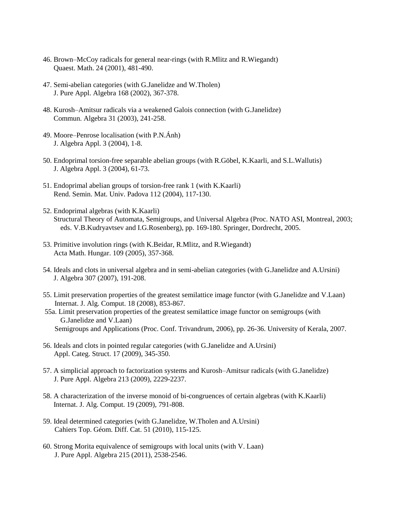- 46. Brown–McCoy radicals for general near-rings (with R.Mlitz and R.Wiegandt) Quaest. Math. 24 (2001), 481-490.
- 47. Semi-abelian categories (with G.Janelidze and W.Tholen) J. Pure Appl. Algebra 168 (2002), 367-378.
- 48. Kurosh–Amitsur radicals via a weakened Galois connection (with G.Janelidze) Commun. Algebra 31 (2003), 241-258.
- 49. Moore–Penrose localisation (with P.N.Ánh) J. Algebra Appl. 3 (2004), 1-8.
- 50. Endoprimal torsion-free separable abelian groups (with R.Göbel, K.Kaarli, and S.L.Wallutis) J. Algebra Appl. 3 (2004), 61-73.
- 51. Endoprimal abelian groups of torsion-free rank 1 (with K.Kaarli) Rend. Semin. Mat. Univ. Padova 112 (2004), 117-130.
- 52. Endoprimal algebras (with K.Kaarli) Structural Theory of Automata, Semigroups, and Universal Algebra (Proc. NATO ASI, Montreal, 2003; eds. V.B.Kudryavtsev and I.G.Rosenberg), pp. 169-180. Springer, Dordrecht, 2005.
- 53. Primitive involution rings (with K.Beidar, R.Mlitz, and R.Wiegandt) Acta Math. Hungar. 109 (2005), 357-368.
- 54. Ideals and clots in universal algebra and in semi-abelian categories (with G.Janelidze and A.Ursini) J. Algebra 307 (2007), 191-208.
- 55. Limit preservation properties of the greatest semilattice image functor (with G.Janelidze and V.Laan) Internat. J. Alg. Comput. 18 (2008), 853-867.
- 55a. Limit preservation properties of the greatest semilattice image functor on semigroups (with G.Janelidze and V.Laan) Semigroups and Applications (Proc. Conf. Trivandrum, 2006), pp. 26-36. University of Kerala, 2007.
- 56. Ideals and clots in pointed regular categories (with G.Janelidze and A.Ursini) Appl. Categ. Struct. 17 (2009), 345-350.
- 57. A simplicial approach to factorization systems and Kurosh–Amitsur radicals (with G.Janelidze) J. Pure Appl. Algebra 213 (2009), 2229-2237.
- 58. A characterization of the inverse monoid of bi-congruences of certain algebras (with K.Kaarli) Internat. J. Alg. Comput. 19 (2009), 791-808.
- 59. Ideal determined categories (with G.Janelidze, W.Tholen and A.Ursini) Cahiers Top. Géom. Diff. Cat. 51 (2010), 115-125.
- 60. Strong Morita equivalence of semigroups with local units (with V. Laan) J. Pure Appl. Algebra 215 (2011), 2538-2546.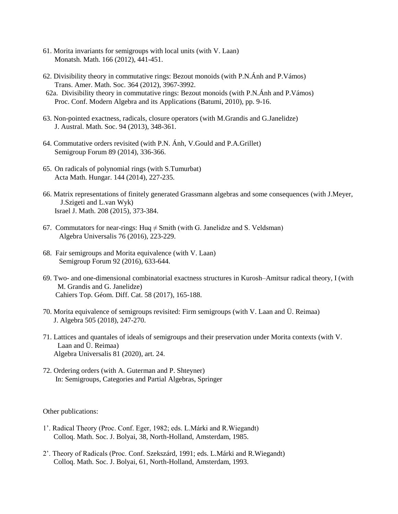- 61. Morita invariants for semigroups with local units (with V. Laan) Monatsh. Math. 166 (2012), 441-451.
- 62. Divisibility theory in commutative rings: Bezout monoids (with P.N.Ánh and P.Vámos) Trans. Amer. Math. Soc. 364 (2012), 3967-3992.
- 62a. Divisibility theory in commutative rings: Bezout monoids (with P.N.Ánh and P.Vámos) Proc. Conf. Modern Algebra and its Applications (Batumi, 2010), pp. 9-16.
- 63. Non-pointed exactness, radicals, closure operators (with M.Grandis and G.Janelidze) J. Austral. Math. Soc. 94 (2013), 348-361.
- 64. Commutative orders revisited (with P.N. Ánh, V.Gould and P.A.Grillet) Semigroup Forum 89 (2014), 336-366.
- 65. On radicals of polynomial rings (with S.Tumurbat) Acta Math. Hungar. 144 (2014), 227-235.
- 66. Matrix representations of finitely generated Grassmann algebras and some consequences (with J.Meyer, J.Szigeti and L.van Wyk) Israel J. Math. 208 (2015), 373-384.
- 67. Commutators for near-rings: Huq  $\neq$  Smith (with G. Janelidze and S. Veldsman) Algebra Universalis 76 (2016), 223-229.
- 68. Fair semigroups and Morita equivalence (with V. Laan) Semigroup Forum 92 (2016), 633-644.
- 69. Two- and one-dimensional combinatorial exactness structures in Kurosh–Amitsur radical theory, I (with M. Grandis and G. Janelidze) Cahiers Top. Géom. Diff. Cat. 58 (2017), 165-188.
- 70. Morita equivalence of semigroups revisited: Firm semigroups (with V. Laan and Ü. Reimaa) J. Algebra 505 (2018), 247-270.
- 71. Lattices and quantales of ideals of semigroups and their preservation under Morita contexts (with V. Laan and Ü. Reimaa) Algebra Universalis 81 (2020), art. 24.
- 72. Ordering orders (with A. Guterman and P. Shteyner) In: Semigroups, Categories and Partial Algebras, Springer

Other publications:

- 1'. Radical Theory (Proc. Conf. Eger, 1982; eds. L.Márki and R.Wiegandt) Colloq. Math. Soc. J. Bolyai, 38, North-Holland, Amsterdam, 1985.
- 2'. Theory of Radicals (Proc. Conf. Szekszárd, 1991; eds. L.Márki and R.Wiegandt) Colloq. Math. Soc. J. Bolyai, 61, North-Holland, Amsterdam, 1993.